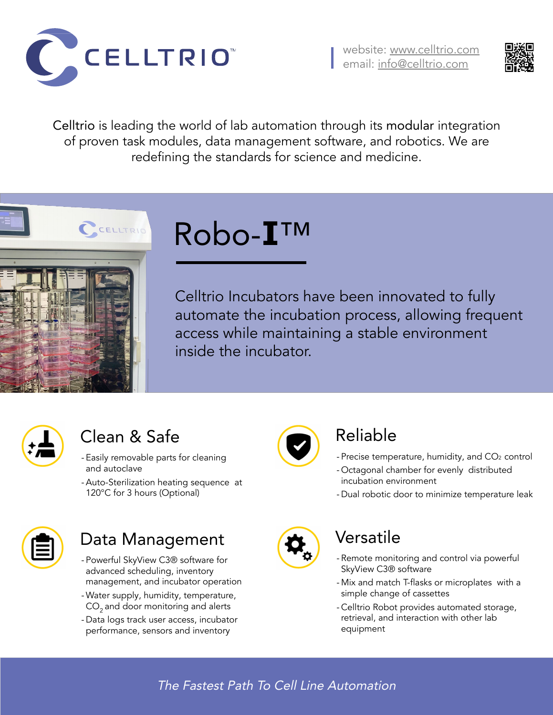#### The Fastest Path To Cell Line Automation





### Versatile

- Remote monitoring and control via powerful SkyView C3® software
- Mix and match T-flasks or microplates with a simple change of cassettes
- Celltrio Robot provides automated storage, retrieval, and interaction with other lab equipment
- Easily removable parts for cleaning and autoclave
- -Auto-Sterilization heating sequence at 120°C for 3 hours (Optional)



## Data Management

- Precise temperature, humidity, and CO<sub>2</sub> control
- Octagonal chamber for evenly distributed incubation environment
- Dual robotic door to minimize temperature leak



- Powerful SkyView C3® software for advanced scheduling, inventory management, and incubator operation
- Water supply, humidity, temperature,  $CO<sub>2</sub>$  and door monitoring and alerts
- Data logs track user access, incubator performance, sensors and inventory



## Clean & Safe

## Reliable

Robo-**I**™

Celltrio Incubators have been innovated to fully automate the incubation process, allowing frequent access while maintaining a stable environment inside the incubator.



Celltrio is leading the world of lab automation through its modular integration of proven task modules, data management software, and robotics. We are redefining the standards for science and medicine.